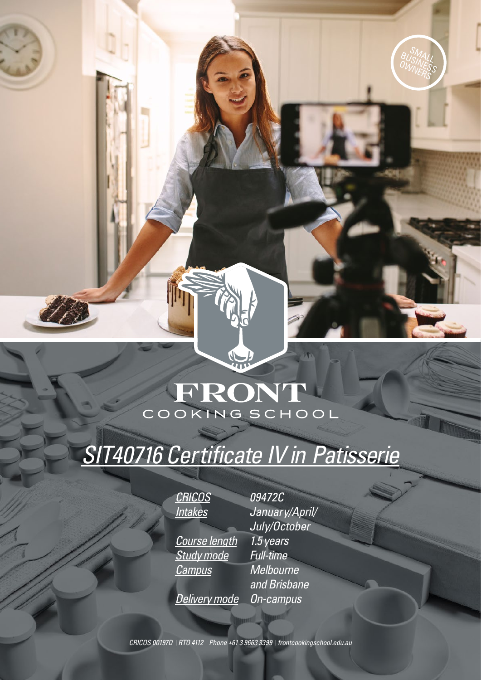## FRONT COOKING SCHOOL

# *[SIT40716 Certificate IV in Patisserie](https://www.frontcookingschool.edu.au/courses/certificate-iv-patisserie/)*

*CRICOS 09472C Intakes [January/April/](https://www.acknowledgeeducation.edu.au/important-dates/) Course length 1.5 years Study mode Full-time Campus Melbourne* 

*July/October and Brisbane Delivery mode On-campus*

SMALL<br>SMALL BUSINALL OWNERS

*CRICOS 00197D RTO 4112 Phone +61 3 9663 3399 [frontcookingschool.edu.au](www.frontcookingschool.edu.au)*